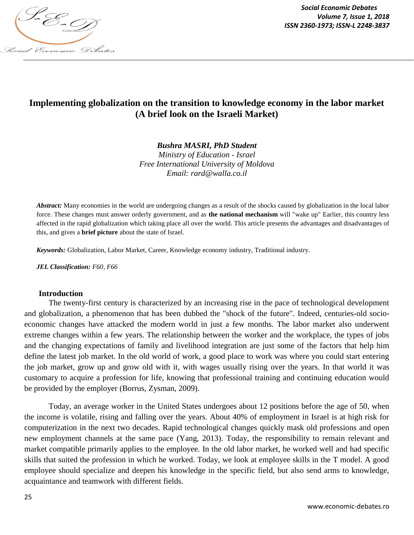

*Social Economic Debates Volume 7, Issue 1, 2018*

# **Implementing globalization on the transition to knowledge economy in the labor market (A brief look on the Israeli Market)**

*Bushra MASRI, PhD Student*

*Ministry of Education - Israel Free International University of Moldova Email: rard@walla.co.il*

*Abstract:* Many economies in the world are undergoing changes as a result of the shocks caused by globalization in the local labor force. These changes must answer orderly government, and as **the national mechanism** will "wake up" Earlier, this country less affected in the rapid globalization which taking place all over the world. This article presents the advantages and disadvantages of this, and gives a **brief picture** about the state of Israel.

*Keywords:* Globalization, Labor Market, Career, Knowledge economy industry, Traditional industry.

*JEL Classification: F60, F66*

#### **Introduction**

The twenty-first century is characterized by an increasing rise in the pace of technological development and globalization, a phenomenon that has been dubbed the "shock of the future". Indeed, centuries-old socioeconomic changes have attacked the modern world in just a few months. The labor market also underwent extreme changes within a few years. The relationship between the worker and the workplace, the types of jobs and the changing expectations of family and livelihood integration are just some of the factors that help him define the latest job market. In the old world of work, a good place to work was where you could start entering the job market, grow up and grow old with it, with wages usually rising over the years. In that world it was customary to acquire a profession for life, knowing that professional training and continuing education would be provided by the employer (Borrus, Zysman, 2009).

Today, an average worker in the United States undergoes about 12 positions before the age of 50, when the income is volatile, rising and falling over the years. About 40% of employment in Israel is at high risk for computerization in the next two decades. Rapid technological changes quickly mask old professions and open new employment channels at the same pace (Yang, 2013). Today, the responsibility to remain relevant and market compatible primarily applies to the employee. In the old labor market, he worked well and had specific skills that suited the profession in which he worked. Today, we look at employee skills in the T model. A good employee should specialize and deepen his knowledge in the specific field, but also send arms to knowledge, acquaintance and teamwork with different fields.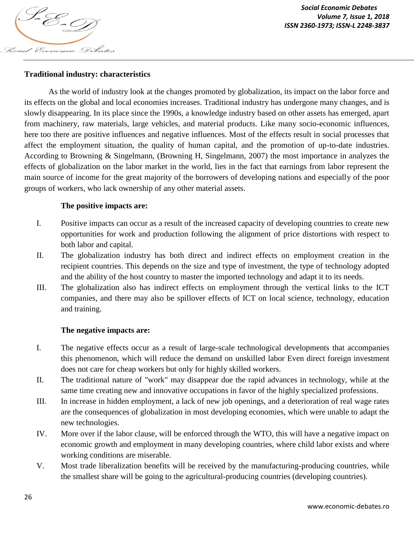

# **Traditional industry: characteristics**

As the world of industry look at the changes promoted by globalization, its impact on the labor force and its effects on the global and local economies increases. Traditional industry has undergone many changes, and is slowly disappearing. In its place since the 1990s, a knowledge industry based on other assets has emerged, apart from machinery, raw materials, large vehicles, and material products. Like many socio-economic influences, here too there are positive influences and negative influences. Most of the effects result in social processes that affect the employment situation, the quality of human capital, and the promotion of up-to-date industries. According to Browning & Singelmann, (Browning H, Singelmann, 2007) the most importance in analyzes the effects of globalization on the labor market in the world, lies in the fact that earnings from labor represent the main source of income for the great majority of the borrowers of developing nations and especially of the poor groups of workers, who lack ownership of any other material assets.

## **The positive impacts are:**

- I. Positive impacts can occur as a result of the increased capacity of developing countries to create new opportunities for work and production following the alignment of price distortions with respect to both labor and capital.
- II. The globalization industry has both direct and indirect effects on employment creation in the recipient countries. This depends on the size and type of investment, the type of technology adopted and the ability of the host country to master the imported technology and adapt it to its needs.
- III. The globalization also has indirect effects on employment through the vertical links to the ICT companies, and there may also be spillover effects of ICT on local science, technology, education and training.

## **The negative impacts are:**

- I. The negative effects occur as a result of large-scale technological developments that accompanies this phenomenon, which will reduce the demand on unskilled labor Even direct foreign investment does not care for cheap workers but only for highly skilled workers.
- II. The traditional nature of "work" may disappear due the rapid advances in technology, while at the same time creating new and innovative occupations in favor of the highly specialized professions.
- III. In increase in hidden employment, a lack of new job openings, and a deterioration of real wage rates are the consequences of globalization in most developing economies, which were unable to adapt the new technologies.
- IV. More over if the labor clause, will be enforced through the WTO, this will have a negative impact on economic growth and employment in many developing countries, where child labor exists and where working conditions are miserable.
- V. Most trade liberalization benefits will be received by the manufacturing-producing countries, while the smallest share will be going to the agricultural-producing countries (developing countries).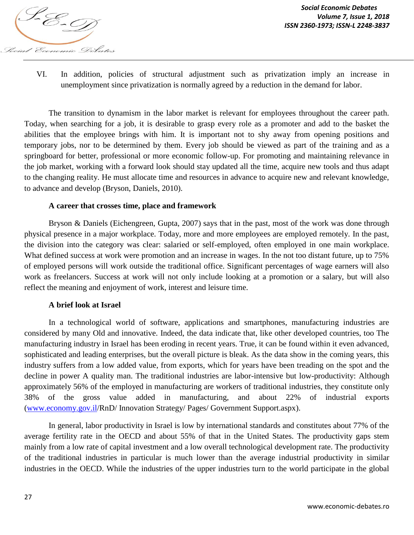

VI. In addition, policies of structural adjustment such as privatization imply an increase in unemployment since privatization is normally agreed by a reduction in the demand for labor.

The transition to dynamism in the labor market is relevant for employees throughout the career path. Today, when searching for a job, it is desirable to grasp every role as a promoter and add to the basket the abilities that the employee brings with him. It is important not to shy away from opening positions and temporary jobs, nor to be determined by them. Every job should be viewed as part of the training and as a springboard for better, professional or more economic follow-up. For promoting and maintaining relevance in the job market, working with a forward look should stay updated all the time, acquire new tools and thus adapt to the changing reality. He must allocate time and resources in advance to acquire new and relevant knowledge, to advance and develop (Bryson, Daniels, 2010).

#### **A career that crosses time, place and framework**

Bryson & Daniels (Eichengreen, Gupta, 2007) says that in the past, most of the work was done through physical presence in a major workplace. Today, more and more employees are employed remotely. In the past, the division into the category was clear: salaried or self-employed, often employed in one main workplace. What defined success at work were promotion and an increase in wages. In the not too distant future, up to 75% of employed persons will work outside the traditional office. Significant percentages of wage earners will also work as freelancers. Success at work will not only include looking at a promotion or a salary, but will also reflect the meaning and enjoyment of work, interest and leisure time.

#### **A brief look at Israel**

In a technological world of software, applications and smartphones, manufacturing industries are considered by many Old and innovative. Indeed, the data indicate that, like other developed countries, too The manufacturing industry in Israel has been eroding in recent years. True, it can be found within it even advanced, sophisticated and leading enterprises, but the overall picture is bleak. As the data show in the coming years, this industry suffers from a low added value, from exports, which for years have been treading on the spot and the decline in power A quality man. The traditional industries are labor-intensive but low-productivity: Although approximately 56% of the employed in manufacturing are workers of traditional industries, they constitute only 38% of the gross value added in manufacturing, and about 22% of industrial exports (www.economy.gov.il/RnD/ Innovation Strategy/ Pages/ Government Support.aspx).

In general, labor productivity in Israel is low by international standards and constitutes about 77% of the average fertility rate in the OECD and about 55% of that in the United States. The productivity gaps stem mainly from a low rate of capital investment and a low overall technological development rate. The productivity of the traditional industries in particular is much lower than the average industrial productivity in similar industries in the OECD. While the industries of the upper industries turn to the world participate in the global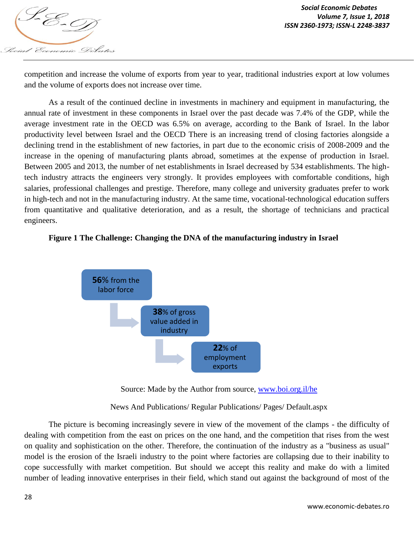

competition and increase the volume of exports from year to year, traditional industries export at low volumes and the volume of exports does not increase over time.

As a result of the continued decline in investments in machinery and equipment in manufacturing, the annual rate of investment in these components in Israel over the past decade was 7.4% of the GDP, while the average investment rate in the OECD was 6.5% on average, according to the Bank of Israel. In the labor productivity level between Israel and the OECD There is an increasing trend of closing factories alongside a declining trend in the establishment of new factories, in part due to the economic crisis of 2008-2009 and the increase in the opening of manufacturing plants abroad, sometimes at the expense of production in Israel. Between 2005 and 2013, the number of net establishments in Israel decreased by 534 establishments. The hightech industry attracts the engineers very strongly. It provides employees with comfortable conditions, high salaries, professional challenges and prestige. Therefore, many college and university graduates prefer to work in high-tech and not in the manufacturing industry. At the same time, vocational-technological education suffers from quantitative and qualitative deterioration, and as a result, the shortage of technicians and practical engineers.

## **Figure 1 The Challenge: Changing the DNA of the manufacturing industry in Israel**



Source: Made by the Author from source, www.boi.org.il/he

News And Publications/ Regular Publications/ Pages/ Default.aspx

The picture is becoming increasingly severe in view of the movement of the clamps - the difficulty of dealing with competition from the east on prices on the one hand, and the competition that rises from the west on quality and sophistication on the other. Therefore, the continuation of the industry as a "business as usual" model is the erosion of the Israeli industry to the point where factories are collapsing due to their inability to cope successfully with market competition. But should we accept this reality and make do with a limited number of leading innovative enterprises in their field, which stand out against the background of most of the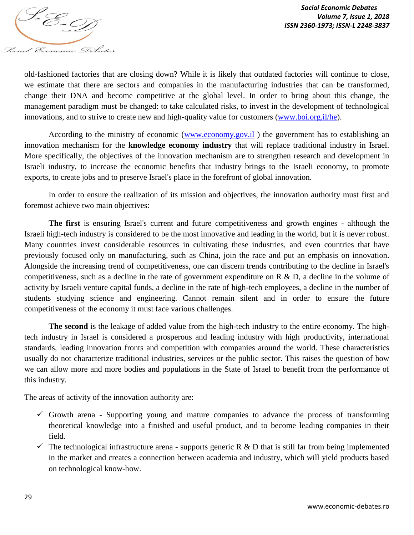

old-fashioned factories that are closing down? While it is likely that outdated factories will continue to close, we estimate that there are sectors and companies in the manufacturing industries that can be transformed, change their DNA and become competitive at the global level. In order to bring about this change, the management paradigm must be changed: to take calculated risks, to invest in the development of technological innovations, and to strive to create new and high-quality value for customers (www.boi.org.il/he).

According to the ministry of economic (www.economy.gov.il ) the government has to establishing an innovation mechanism for the **knowledge economy industry** that will replace traditional industry in Israel. More specifically, the objectives of the innovation mechanism are to strengthen research and development in Israeli industry, to increase the economic benefits that industry brings to the Israeli economy, to promote exports, to create jobs and to preserve Israel's place in the forefront of global innovation.

In order to ensure the realization of its mission and objectives, the innovation authority must first and foremost achieve two main objectives:

**The first** is ensuring Israel's current and future competitiveness and growth engines - although the Israeli high-tech industry is considered to be the most innovative and leading in the world, but it is never robust. Many countries invest considerable resources in cultivating these industries, and even countries that have previously focused only on manufacturing, such as China, join the race and put an emphasis on innovation. Alongside the increasing trend of competitiveness, one can discern trends contributing to the decline in Israel's competitiveness, such as a decline in the rate of government expenditure on R & D, a decline in the volume of activity by Israeli venture capital funds, a decline in the rate of high-tech employees, a decline in the number of students studying science and engineering. Cannot remain silent and in order to ensure the future competitiveness of the economy it must face various challenges.

**The second** is the leakage of added value from the high-tech industry to the entire economy. The hightech industry in Israel is considered a prosperous and leading industry with high productivity, international standards, leading innovation fronts and competition with companies around the world. These characteristics usually do not characterize traditional industries, services or the public sector. This raises the question of how we can allow more and more bodies and populations in the State of Israel to benefit from the performance of this industry.

The areas of activity of the innovation authority are:

- $\checkmark$  Growth arena Supporting young and mature companies to advance the process of transforming theoretical knowledge into a finished and useful product, and to become leading companies in their field.
- $\checkmark$  The technological infrastructure arena supports generic R & D that is still far from being implemented in the market and creates a connection between academia and industry, which will yield products based on technological know-how.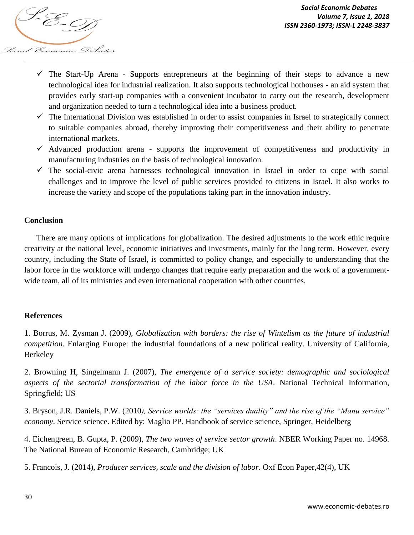

- The Start-Up Arena Supports entrepreneurs at the beginning of their steps to advance a new technological idea for industrial realization. It also supports technological hothouses - an aid system that provides early start-up companies with a convenient incubator to carry out the research, development and organization needed to turn a technological idea into a business product.
- $\checkmark$  The International Division was established in order to assist companies in Israel to strategically connect to suitable companies abroad, thereby improving their competitiveness and their ability to penetrate international markets.
- $\checkmark$  Advanced production arena supports the improvement of competitiveness and productivity in manufacturing industries on the basis of technological innovation.
- $\checkmark$  The social-civic arena harnesses technological innovation in Israel in order to cope with social challenges and to improve the level of public services provided to citizens in Israel. It also works to increase the variety and scope of the populations taking part in the innovation industry.

## **Conclusion**

There are many options of implications for globalization. The desired adjustments to the work ethic require creativity at the national level, economic initiatives and investments, mainly for the long term. However, every country, including the State of Israel, is committed to policy change, and especially to understanding that the labor force in the workforce will undergo changes that require early preparation and the work of a governmentwide team, all of its ministries and even international cooperation with other countries.

## **References**

1. Borrus, M. Zysman J. (2009), *Globalization with borders: the rise of Wintelism as the future of industrial competition*. Enlarging Europe: the industrial foundations of a new political reality. University of California, Berkeley

2. Browning H, Singelmann J. (2007), *The emergence of a service society: demographic and sociological aspects of the sectorial transformation of the labor force in the USA*. National Technical Information, Springfield; US

3. Bryson, J.R. Daniels, P.W. (2010*), Service worlds: the "services duality" and the rise of the "Manu service" economy*. Service science. Edited by: Maglio PP. Handbook of service science, Springer, Heidelberg

4. Eichengreen, B. Gupta, P. (2009), *The two waves of service sector growth*. NBER Working Paper no. 14968. The National Bureau of Economic Research, Cambridge; UK

5. Francois, J. (2014), *Producer services, scale and the division of labor*. Oxf Econ Paper,42(4), UK